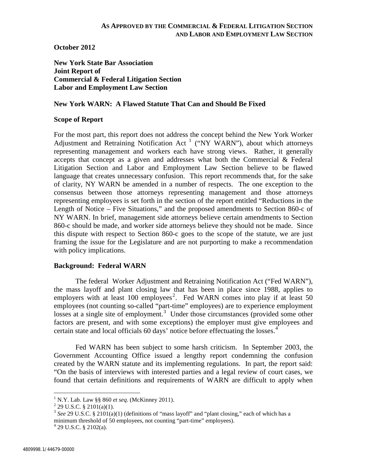**October 2012**

**New York State Bar Association Joint Report of Commercial & Federal Litigation Section Labor and Employment Law Section**

## **New York WARN: A Flawed Statute That Can and Should Be Fixed**

#### **Scope of Report**

For the most part, this report does not address the concept behind the New York Worker Adjustment and Retraining Notification Act<sup>[1](#page-0-0)</sup> ("NY WARN"), about which attorneys representing management and workers each have strong views. Rather, it generally accepts that concept as a given and addresses what both the Commercial & Federal Litigation Section and Labor and Employment Law Section believe to be flawed language that creates unnecessary confusion. This report recommends that, for the sake of clarity, NY WARN be amended in a number of respects. The one exception to the consensus between those attorneys representing management and those attorneys representing employees is set forth in the section of the report entitled "Reductions in the Length of Notice – Five Situations," and the proposed amendments to Section 860-c of NY WARN. In brief, management side attorneys believe certain amendments to Section 860-c should be made, and worker side attorneys believe they should not be made. Since this dispute with respect to Section 860-c goes to the scope of the statute, we are just framing the issue for the Legislature and are not purporting to make a recommendation with policy implications.

#### **Background: Federal WARN**

The federal Worker Adjustment and Retraining Notification Act ("Fed WARN"), the mass layoff and plant closing law that has been in place since 1988, applies to employers with at least 100 employees<sup>[2](#page-0-1)</sup>. Fed WARN comes into play if at least 50 employees (not counting so-called "part-time" employees) are to experience employment losses at a single site of employment.<sup>[3](#page-0-2)</sup> Under those circumstances (provided some other factors are present, and with some exceptions) the employer must give employees and certain state and local officials 60 days' notice before effectuating the losses.<sup>[4](#page-0-3)</sup>

Fed WARN has been subject to some harsh criticism. In September 2003, the Government Accounting Office issued a lengthy report condemning the confusion created by the WARN statute and its implementing regulations. In part, the report said: "On the basis of interviews with interested parties and a legal review of court cases, we found that certain definitions and requirements of WARN are difficult to apply when

<span id="page-0-2"></span>

<span id="page-0-1"></span><span id="page-0-0"></span><sup>&</sup>lt;sup>1</sup> N.Y. Lab. Law §§ 860 *et seq.* (McKinney 2011).<br><sup>2</sup> 29 U.S.C. § 2101(a)(1).<br><sup>3</sup> *See* 29 U.S.C. § 2101(a)(1) (definitions of "mass layoff" and "plant closing," each of which has a minimum threshold of 50 employees, not counting "part-time" employees).  $^{4}$  29 U.S.C. § 2102(a).

<span id="page-0-3"></span>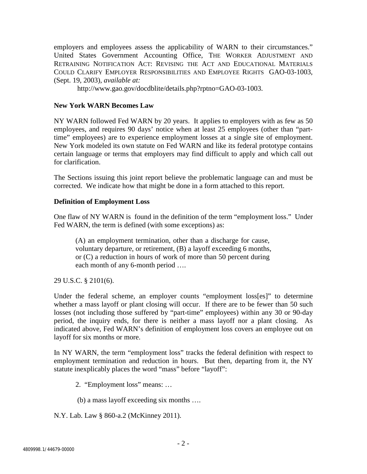employers and employees assess the applicability of WARN to their circumstances." United States Government Accounting Office, THE WORKER ADJUSTMENT AND RETRAINING NOTIFICATION ACT: REVISING THE ACT AND EDUCATIONAL MATERIALS COULD CLARIFY EMPLOYER RESPONSIBILITIES AND EMPLOYEE RIGHTS GAO-03-1003, (Sept. 19, 2003), *available at:*

http://www.gao.gov/docdblite/details.php?rptno=GAO-03-1003.

# **New York WARN Becomes Law**

NY WARN followed Fed WARN by 20 years. It applies to employers with as few as 50 employees, and requires 90 days' notice when at least 25 employees (other than "parttime" employees) are to experience employment losses at a single site of employment. New York modeled its own statute on Fed WARN and like its federal prototype contains certain language or terms that employers may find difficult to apply and which call out for clarification.

The Sections issuing this joint report believe the problematic language can and must be corrected. We indicate how that might be done in a form attached to this report.

# **Definition of Employment Loss**

One flaw of NY WARN is found in the definition of the term "employment loss." Under Fed WARN, the term is defined (with some exceptions) as:

(A) an employment termination, other than a discharge for cause, voluntary departure, or retirement, (B) a layoff exceeding 6 months, or (C) a reduction in hours of work of more than 50 percent during each month of any 6-month period ….

29 U.S.C. § 2101(6).

Under the federal scheme, an employer counts "employment loss[es]" to determine whether a mass layoff or plant closing will occur. If there are to be fewer than 50 such losses (not including those suffered by "part-time" employees) within any 30 or 90-day period, the inquiry ends, for there is neither a mass layoff nor a plant closing. As indicated above, Fed WARN's definition of employment loss covers an employee out on layoff for six months or more.

In NY WARN, the term "employment loss" tracks the federal definition with respect to employment termination and reduction in hours. But then, departing from it, the NY statute inexplicably places the word "mass" before "layoff":

2. "Employment loss" means: …

(b) a mass layoff exceeding six months ….

N.Y. Lab. Law § 860-a.2 (McKinney 2011).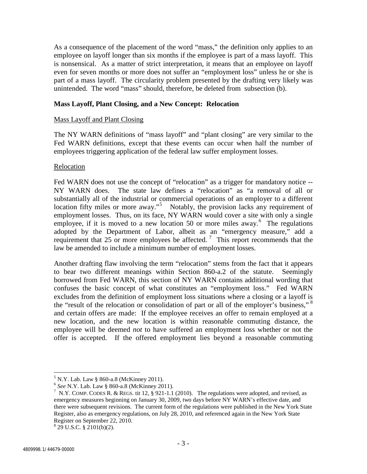As a consequence of the placement of the word "mass," the definition only applies to an employee on layoff longer than six months if the employee is part of a mass layoff. This is nonsensical. As a matter of strict interpretation, it means that an employee on layoff even for seven months or more does not suffer an "employment loss" unless he or she is part of a mass layoff. The circularity problem presented by the drafting very likely was unintended. The word "mass" should, therefore, be deleted from subsection (b).

## **Mass Layoff, Plant Closing, and a New Concept: Relocation**

### Mass Layoff and Plant Closing

The NY WARN definitions of "mass layoff" and "plant closing" are very similar to the Fed WARN definitions, except that these events can occur when half the number of employees triggering application of the federal law suffer employment losses.

### Relocation

Fed WARN does not use the concept of "relocation" as a trigger for mandatory notice -- NY WARN does. The state law defines a "relocation" as "a removal of all or substantially all of the industrial or commercial operations of an employer to a different location fifty miles or more away."<sup>[5](#page-2-0)</sup> Notably, the provision lacks any requirement of employment losses. Thus, on its face, NY WARN would cover a site with only a single employee, if it is moved to a new location 50 or more miles away. $6$  The regulations adopted by the Department of Labor, albeit as an "emergency measure," add a requirement that 25 or more employees be affected.<sup>[7](#page-2-2)</sup> This report recommends that the law be amended to include a minimum number of employment losses.

Another drafting flaw involving the term "relocation" stems from the fact that it appears to bear two different meanings within Section 860-a.2 of the statute. Seemingly borrowed from Fed WARN, this section of NY WARN contains additional wording that confuses the basic concept of what constitutes an "employment loss." Fed WARN excludes from the definition of employment loss situations where a closing or a layoff is the "result of the relocation or consolidation of part or all of the employer's business," and certain offers are made: If the employee receives an offer to remain employed at a new location, and the new location is within reasonable commuting distance, the employee will be deemed *not* to have suffered an employment loss whether or not the offer is accepted. If the offered employment lies beyond a reasonable commuting

<span id="page-2-0"></span><sup>5</sup> N.Y. Lab. Law § 860-a.8 (McKinney 2011). 6 *See* N.Y. Lab. Law § 860-a.8 (McKinney 2011). 7

<span id="page-2-2"></span><span id="page-2-1"></span><sup>&</sup>lt;sup>7</sup> N.Y. COMP. CODES R. & REGS. tit 12, § 921-1.1 (2010). The regulations were adopted, and revised, as emergency measures beginning on January 30, 2009, two days before NY WARN's effective date, and there were subsequent revisions. The current form of the regulations were published in the New York State Register, also as emergency regulations, on July 28, 2010, and referenced again in the New York State Register on September 22, 2010.

<span id="page-2-3"></span> $8$  29 U.S.C. § 2101(b)(2).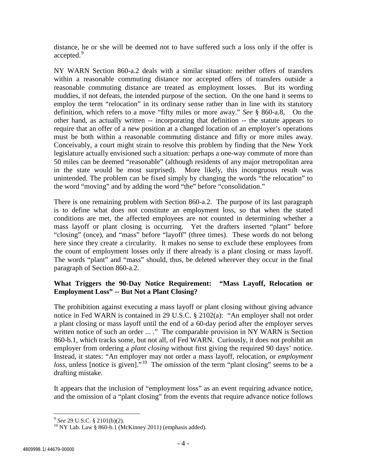distance, he or she will be deemed not to have suffered such a loss only if the offer is accepted.<sup>[9](#page-3-0)</sup>

NY WARN Section 860-a.2 deals with a similar situation: neither offers of transfers within a reasonable commuting distance nor accepted offers of transfers outside a reasonable commuting distance are treated as employment losses. But its wording muddies, if not defeats, the intended purpose of the section. On the one hand it seems to employ the term "relocation" in its ordinary sense rather than in line with its statutory definition, which refers to a move "fifty miles or more away." *See* § 860-a.8, On the other hand, as actually written -- incorporating that definition -- the statute appears to require that an offer of a new position at a changed location of an employer's operations must be both within a reasonable commuting distance and fifty or more miles away. Conceivably, a court might strain to resolve this problem by finding that the New York legislature actually envisioned such a situation: perhaps a one-way commute of more than 50 miles can be deemed "reasonable" (although residents of any major metropolitan area in the state would be most surprised). More likely, this incongruous result was unintended. The problem can be fixed simply by changing the words "the relocation" to the word "moving" and by adding the word "the" before "consolidation."

There is one remaining problem with Section 860-a.2. The purpose of its last paragraph is to define what does not constitute an employment loss, so that when the stated conditions are met, the affected employees are not counted in determining whether a mass layoff or plant closing is occurring. Yet the drafters inserted "plant" before "closing" (once), and "mass" before "layoff" (three times). These words do not belong here since they create a circularity. It makes no sense to exclude these employees from the count of employment losses only if there already is a plant closing or mass layoff. The words "plant" and "mass" should, thus, be deleted wherever they occur in the final paragraph of Section 860-a.2.

# **What Triggers the 90-Day Notice Requirement: "Mass Layoff, Relocation or Employment Loss" -- But Not a Plant Closing?**

The prohibition against executing a mass layoff or plant closing without giving advance notice in Fed WARN is contained in 29 U.S.C. § 2102(a): "An employer shall not order a plant closing or mass layoff until the end of a 60-day period after the employer serves written notice of such an order ... ." The comparable provision in NY WARN is Section 860-b.1, which tracks some, but not all, of Fed WARN. Curiously, it does not prohibit an employer from ordering a *plant closing* without first giving the required 90 days' notice. Instead, it states: "An employer may not order a mass layoff, relocation, or *employment loss*, unless [notice is given]."<sup>[10](#page-3-1)</sup> The omission of the term "plant closing" seems to be a drafting mistake.

It appears that the inclusion of "employment loss" as an event requiring advance notice, and the omission of a "plant closing" from the events that require advance notice follows

<span id="page-3-1"></span>

<span id="page-3-0"></span><sup>&</sup>lt;sup>9</sup> *See* 29 U.S.C. § 2101(b)(2).<br><sup>10</sup> NY Lab. Law § 860-b.1 (McKinney 2011) (emphasis added).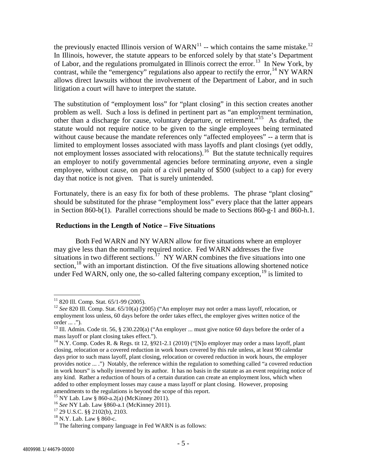the previously enacted Illinois version of WARN<sup>[11](#page-4-0)</sup> -- which contains the same mistake.<sup>[12](#page-4-1)</sup> In Illinois, however, the statute appears to be enforced solely by that state's Department of Labor, and the regulations promulgated in Illinois correct the error.[13](#page-4-2) In New York, by contrast, while the "emergency" regulations also appear to rectify the error,  $^{14}$  $^{14}$  $^{14}$  NY WARN allows direct lawsuits without the involvement of the Department of Labor, and in such litigation a court will have to interpret the statute.

The substitution of "employment loss" for "plant closing" in this section creates another problem as well. Such a loss is defined in pertinent part as "an employment termination, other than a discharge for cause, voluntary departure, or retirement."[15](#page-4-4) As drafted, the statute would not require notice to be given to the single employees being terminated without cause because the mandate references only "affected employees" -- a term that is limited to employment losses associated with mass layoffs and plant closings (yet oddly, not employment losses associated with relocations).<sup>16</sup> But the statute technically requires an employer to notify governmental agencies before terminating *anyone*, even a single employee, without cause, on pain of a civil penalty of \$500 (subject to a cap) for every day that notice is not given. That is surely unintended.

Fortunately, there is an easy fix for both of these problems. The phrase "plant closing" should be substituted for the phrase "employment loss" every place that the latter appears in Section 860-b(1). Parallel corrections should be made to Sections 860-g-1 and 860-h.1.

## **Reductions in the Length of Notice – Five Situations**

Both Fed WARN and NY WARN allow for five situations where an employer may give less than the normally required notice. Fed WARN addresses the five situations in two different sections.<sup>[17](#page-4-6)</sup> NY WARN combines the five situations into one section,  $18$  with an important distinction. Of the five situations allowing shortened notice under Fed WARN, only one, the so-called faltering company exception,  $19$  is limited to

<span id="page-4-1"></span><span id="page-4-0"></span><sup>11</sup> 820 Ill. Comp. Stat. 65/1-99 (2005). <sup>12</sup> *See* 820 Ill. Comp. Stat. 65/10(a) (2005) ("An employer may not order a mass layoff, relocation, or employment loss unless, 60 days before the order takes effect, the employer gives written notice of the order ... .").

<span id="page-4-2"></span><sup>&</sup>lt;sup>13</sup> Ill. Admin. Code tit. 56, § 230.220(a) ("An employer ... must give notice 60 days before the order of a mass layoff or plant closing takes effect.").

<span id="page-4-3"></span><sup>&</sup>lt;sup>14</sup> N.Y. Comp. Codes R. & Regs. tit 12, §921-2.1 (2010) ("[N]o employer may order a mass layoff, plant closing, relocation or a covered reduction in work hours covered by this rule unless, at least 90 calendar days prior to such mass layoff, plant closing, relocation or covered reduction in work hours, the employer provides notice ... .") Notably, the reference within the regulation to something called "a covered reduction in work hours" is wholly invented by its author. It has no basis in the statute as an event requiring notice of any kind. Rather a reduction of hours of a certain duration can create an employment loss, which when added to other employment losses may cause a mass layoff or plant closing. However, proposing amendments to the regulations is beyond the scope of this report.<br><sup>15</sup> NY Lab. Law § 860-a.2(a) (McKinney 2011).

<span id="page-4-6"></span><span id="page-4-5"></span><span id="page-4-4"></span><sup>&</sup>lt;sup>16</sup> See NY Lab. Law §860-a.1 (McKinney 2011). <sup>17</sup> 29 U.S.C. §§ 2102(b), 2103. <sup>18</sup> N.Y. Lab. Law § 860-c.

<span id="page-4-7"></span>

<span id="page-4-8"></span> $19$  The faltering company language in Fed WARN is as follows: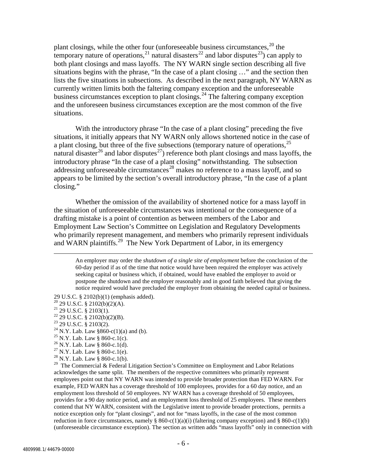plant closings, while the other four (unforeseeable business circumstances,  $20$  the temporary nature of operations,  $21$  natural disasters  $22$  and labor disputes  $23$ ) can apply to both plant closings and mass layoffs. The NY WARN single section describing all five situations begins with the phrase, "In the case of a plant closing …" and the section then lists the five situations in subsections. As described in the next paragraph, NY WARN as currently written limits both the faltering company exception and the unforeseeable business circumstances exception to plant closings.<sup>[24](#page-5-4)</sup> The faltering company exception and the unforeseen business circumstances exception are the most common of the five situations.

With the introductory phrase "In the case of a plant closing" preceding the five situations, it initially appears that NY WARN only allows shortened notice in the case of a plant closing, but three of the five subsections (temporary nature of operations,  $2<sup>5</sup>$ natural disaster<sup>[26](#page-5-6)</sup> and labor disputes<sup>27</sup>) reference both plant closings and mass layoffs, the introductory phrase "In the case of a plant closing" notwithstanding. The subsection addressing unforeseeable circumstances<sup>[28](#page-5-8)</sup> makes no reference to a mass layoff, and so appears to be limited by the section's overall introductory phrase, "In the case of a plant closing."

Whether the omission of the availability of shortened notice for a mass layoff in the situation of unforeseeable circumstances was intentional or the consequence of a drafting mistake is a point of contention as between members of the Labor and Employment Law Section's Committee on Legislation and Regulatory Developments who primarily represent management, and members who primarily represent individuals and WARN plaintiffs.<sup>29</sup> The New York Department of Labor, in its emergency

 An employer may order the *shutdown of a single site of employment* before the conclusion of the 60-day period if as of the time that notice would have been required the employer was actively seeking capital or business which, if obtained, would have enabled the employer to avoid or postpone the shutdown and the employer reasonably and in good faith believed that giving the notice required would have precluded the employer from obtaining the needed capital or business.

- <span id="page-5-0"></span>29 U.S.C. § 2102(b)(1) (emphasis added).<br><sup>20</sup> 29 U.S.C. § 2102(b)(2)(A).<br><sup>21</sup> 29 U.S.C. § 2103(1).<br><sup>22</sup> 29 U.S.C. § 2102(b)(2)(B).<br><sup>23</sup> 29 U.S.C. § 2103(2).<br><sup>23</sup> 29 U.S.C. § 2103(2).<br><sup>24</sup> N.Y. Lab. Law § 860-c.1(c).<br><sup>26</sup>
- <span id="page-5-1"></span>
- 
- <span id="page-5-2"></span>
- <span id="page-5-3"></span>
- <span id="page-5-4"></span>
- <span id="page-5-5"></span>
- <span id="page-5-6"></span>
- <span id="page-5-7"></span>
- 

<span id="page-5-9"></span><span id="page-5-8"></span><sup>29</sup> The Commercial & Federal Litigation Section's Committee on Employment and Labor Relations acknowledges the same split. The members of the respective committees who primarily represent employees point out that NY WARN was intended to provide broader protection than FED WARN. For example, FED WARN has a coverage threshold of 100 employees, provides for a 60 day notice, and an employment loss threshold of 50 employees. NY WARN has a coverage threshold of 50 employees, provides for a 90 day notice period, and an employment loss threshold of 25 employees. These members contend that NY WARN, consistent with the Legislative intent to provide broader protections, permits a notice exception only for "plant closings", and not for "mass layoffs, in the case of the most common reduction in force circumstances, namely § 860-c(1)(a)(i) (faltering company exception) and § 860-c(1)(b) (unforeseeable circumstance exception). The section as written adds "mass layoffs" only in connection with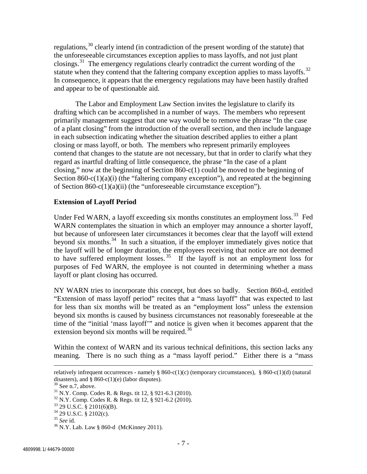regulations,[30](#page-6-0) clearly intend (in contradiction of the present wording of the statute) that the unforeseeable circumstances exception applies to mass layoffs, and not just plant closings.<sup>[31](#page-6-1)</sup> The emergency regulations clearly contradict the current wording of the statute when they contend that the faltering company exception applies to mass layoffs.<sup>[32](#page-6-2)</sup> In consequence, it appears that the emergency regulations may have been hastily drafted and appear to be of questionable aid.

The Labor and Employment Law Section invites the legislature to clarify its drafting which can be accomplished in a number of ways. The members who represent primarily management suggest that one way would be to remove the phrase "In the case of a plant closing" from the introduction of the overall section, and then include language in each subsection indicating whether the situation described applies to either a plant closing or mass layoff, or both. The members who represent primarily employees contend that changes to the statute are not necessary, but that in order to clarify what they regard as inartful drafting of little consequence, the phrase "In the case of a plant closing," now at the beginning of Section 860-c(1) could be moved to the beginning of Section  $860-c(1)(a)(i)$  (the "faltering company exception"), and repeated at the beginning of Section 860-c(1)(a)(ii) (the "unforeseeable circumstance exception").

## **Extension of Layoff Period**

Under Fed WARN, a layoff exceeding six months constitutes an employment loss.<sup>33</sup> Fed WARN contemplates the situation in which an employer may announce a shorter layoff, but because of unforeseen later circumstances it becomes clear that the layoff will extend beyond six months.<sup>[34](#page-6-4)</sup> In such a situation, if the employer immediately gives notice that the layoff will be of longer duration, the employees receiving that notice are not deemed to have suffered employment losses.<sup>[35](#page-6-5)</sup> If the layoff is not an employment loss for purposes of Fed WARN, the employee is not counted in determining whether a mass layoff or plant closing has occurred.

NY WARN tries to incorporate this concept, but does so badly. Section 860-d, entitled "Extension of mass layoff period" recites that a "mass layoff" that was expected to last for less than six months will be treated as an "employment loss" unless the extension beyond six months is caused by business circumstances not reasonably foreseeable at the time of the "initial 'mass layoff'" and notice is given when it becomes apparent that the extension beyond six months will be required.<sup>[36](#page-6-6)</sup>

Within the context of WARN and its various technical definitions, this section lacks any meaning. There is no such thing as a "mass layoff period." Either there is a "mass

 $\overline{a}$ 

relatively infrequent occurrences - namely § 860-c(1)(c) (temporary circumstances), § 860-c(1)(d) (natural disasters), and § 860-c(1)(e) (labor disputes).

<span id="page-6-1"></span><span id="page-6-0"></span><sup>&</sup>lt;sup>30</sup> See n.7, above.<br><sup>31</sup> N.Y. Comp. Codes R. & Regs. tit 12, § 921-6.3 (2010).<br><sup>32</sup> N.Y. Comp. Codes R. & Regs. tit 12, § 921-6.2 (2010).<br><sup>33</sup> 29 U.S.C. § 2101(6)(B).<br><sup>34</sup> 29 U.S.C. § 2102(c).<br><sup>35</sup> See id.<br><sup>36</sup> N.Y. Lab.

<span id="page-6-3"></span><span id="page-6-2"></span>

<span id="page-6-4"></span>

<span id="page-6-5"></span>

<span id="page-6-6"></span>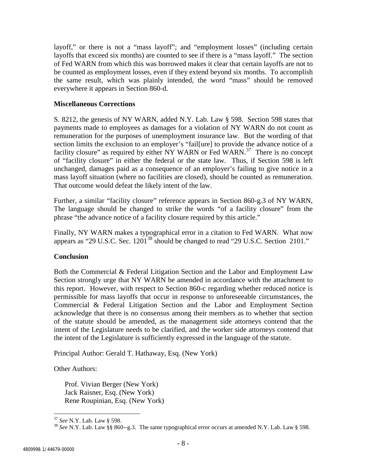layoff," or there is not a "mass layoff"; and "employment losses" (including certain layoffs that exceed six months) are counted to see if there is a "mass layoff." The section of Fed WARN from which this was borrowed makes it clear that certain layoffs are not to be counted as employment losses, even if they extend beyond six months. To accomplish the same result, which was plainly intended, the word "mass" should be removed everywhere it appears in Section 860-d.

## **Miscellaneous Corrections**

S. 8212, the genesis of NY WARN, added N.Y. Lab. Law § 598. Section 598 states that payments made to employees as damages for a violation of NY WARN do not count as remuneration for the purposes of unemployment insurance law. But the wording of that section limits the exclusion to an employer's "fail[ure] to provide the advance notice of a facility closure" as required by either NY WARN or Fed WARN.<sup>[37](#page-7-0)</sup> There is no concept of "facility closure" in either the federal or the state law. Thus, if Section 598 is left unchanged, damages paid as a consequence of an employer's failing to give notice in a mass layoff situation (where no facilities are closed), should be counted as remuneration. That outcome would defeat the likely intent of the law.

Further, a similar "facility closure" reference appears in Section 860-g.3 of NY WARN, The language should be changed to strike the words "of a facility closure" from the phrase "the advance notice of a facility closure required by this article."

Finally, NY WARN makes a typographical error in a citation to Fed WARN. What now appears as "29 U.S.C. Sec. 1201[38](#page-7-1) should be changed to read "29 U.S.C. Section 2101."

# **Conclusion**

Both the Commercial & Federal Litigation Section and the Labor and Employment Law Section strongly urge that NY WARN be amended in accordance with the attachment to this report. However, with respect to Section 860-c regarding whether reduced notice is permissible for mass layoffs that occur in response to unforeseeable circumstances, the Commercial & Federal Litigation Section and the Labor and Employment Section acknowledge that there is no consensus among their members as to whether that section of the statute should be amended, as the management side attorneys contend that the intent of the Legislature needs to be clarified, and the worker side attorneys contend that the intent of the Legislature is sufficiently expressed in the language of the statute.

Principal Author: Gerald T. Hathaway, Esq. (New York)

Other Authors:

Prof. Vivian Berger (New York) Jack Raisner, Esq. (New York) Rene Roupinian, Esq. (New York)

<span id="page-7-1"></span><span id="page-7-0"></span><sup>&</sup>lt;sup>37</sup> *See* N.Y. Lab. Law § 598.<br><sup>38</sup> *See* N.Y. Lab. Law §§ 860--g.3. The same typographical error occurs at amended N.Y. Lab. Law § 598.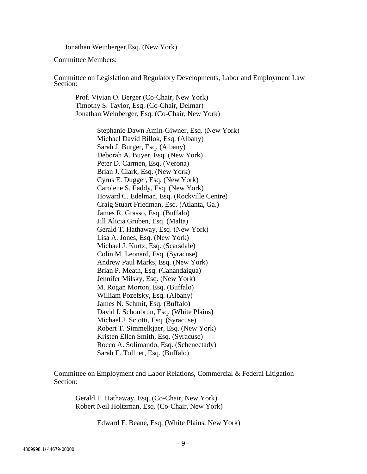Jonathan Weinberger,Esq. (New York)

Committee Members:

Committee on Legislation and Regulatory Developments, Labor and Employment Law Section:

Prof. Vivian O. Berger (Co-Chair, New York) Timothy S. Taylor, Esq. (Co-Chair, Delmar) Jonathan Weinberger, Esq. (Co-Chair, New York)

> Stephanie Dawn Amin-Giwner, Esq. (New York) Michael David Billok, Esq. (Albany) Sarah J. Burger, Esq. (Albany) Deborah A. Buyer, Esq. (New York) Peter D. Carmen, Esq. (Verona) Brian J. Clark, Esq. (New York) Cyrus E. Dugger, Esq. (New York) Carolene S. Eaddy, Esq. (New York) Howard C. Edelman, Esq. (Rockville Centre) Craig Stuart Friedman, Esq. (Atlanta, Ga.) James R. Grasso, Esq. (Buffalo) Jill Alicia Gruben, Esq. (Malta) Gerald T. Hathaway, Esq. (New York) Lisa A. Jones, Esq. (New York) Michael J. Kurtz, Esq. (Scarsdale) Colin M. Leonard, Esq. (Syracuse) Andrew Paul Marks, Esq. (New York) Brian P. Meath, Esq. (Canandaigua) Jennifer Milsky, Esq. (New York) M. Rogan Morton, Esq. (Buffalo) William Pozefsky, Esq. (Albany) James N. Schmit, Esq. (Buffalo) David I. Schonbrun, Esq. (White Plains) Michael J. Sciotti, Esq. (Syracuse) Robert T. Simmelkjaer, Esq. (New York) Kristen Ellen Smith, Esq. (Syracuse) Rocco A. Solimando, Esq. (Schenectady) Sarah E. Tollner, Esq. (Buffalo)

Committee on Employment and Labor Relations, Commercial & Federal Litigation Section:

Gerald T. Hathaway, Esq. (Co-Chair, New York) Robert Neil Holtzman, Esq. (Co-Chair, New York)

Edward F. Beane, Esq. (White Plains, New York)